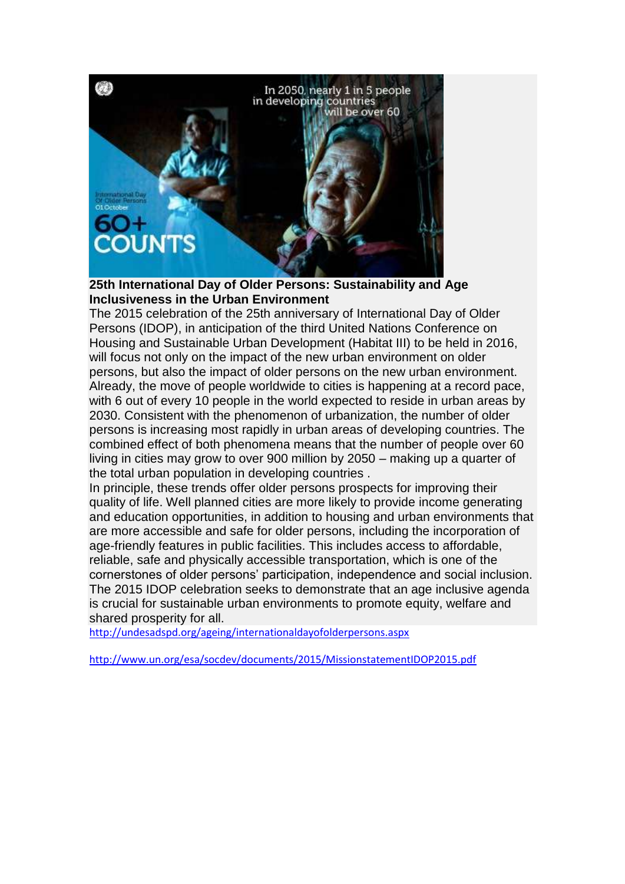

## **25th International Day of Older Persons: Sustainability and Age Inclusiveness in the Urban Environment**

The 2015 celebration of the 25th anniversary of International Day of Older Persons (IDOP), in anticipation of the third United Nations Conference on Housing and Sustainable Urban Development (Habitat III) to be held in 2016, will focus not only on the impact of the new urban environment on older persons, but also the impact of older persons on the new urban environment. Already, the move of people worldwide to cities is happening at a record pace, with 6 out of every 10 people in the world expected to reside in urban areas by 2030. Consistent with the phenomenon of urbanization, the number of older persons is increasing most rapidly in urban areas of developing countries. The combined effect of both phenomena means that the number of people over 60 living in cities may grow to over 900 million by 2050 – making up a quarter of the total urban population in developing countries .

In principle, these trends offer older persons prospects for improving their quality of life. Well planned cities are more likely to provide income generating and education opportunities, in addition to housing and urban environments that are more accessible and safe for older persons, including the incorporation of age-friendly features in public facilities. This includes access to affordable, reliable, safe and physically accessible transportation, which is one of the cornerstones of older persons' participation, independence and social inclusion. The 2015 IDOP celebration seeks to demonstrate that an age inclusive agenda is crucial for sustainable urban environments to promote equity, welfare and shared prosperity for all.

<http://undesadspd.org/ageing/internationaldayofolderpersons.aspx>

<http://www.un.org/esa/socdev/documents/2015/MissionstatementIDOP2015.pdf>